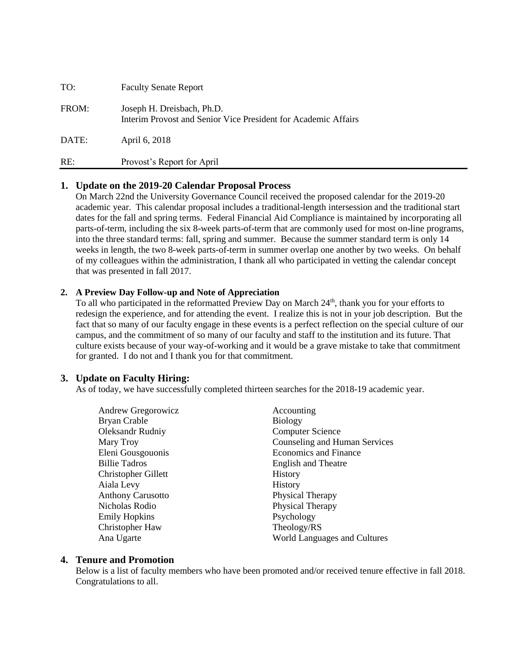| TO:   | <b>Faculty Senate Report</b>                                                                 |
|-------|----------------------------------------------------------------------------------------------|
| FROM: | Joseph H. Dreisbach, Ph.D.<br>Interim Provost and Senior Vice President for Academic Affairs |
| DATE: | April 6, 2018                                                                                |
| RE:   | Provost's Report for April                                                                   |

## **1. Update on the 2019-20 Calendar Proposal Process**

On March 22nd the University Governance Council received the proposed calendar for the 2019-20 academic year. This calendar proposal includes a traditional-length intersession and the traditional start dates for the fall and spring terms. Federal Financial Aid Compliance is maintained by incorporating all parts-of-term, including the six 8-week parts-of-term that are commonly used for most on-line programs, into the three standard terms: fall, spring and summer. Because the summer standard term is only 14 weeks in length, the two 8-week parts-of-term in summer overlap one another by two weeks. On behalf of my colleagues within the administration, I thank all who participated in vetting the calendar concept that was presented in fall 2017.

### **2. A Preview Day Follow-up and Note of Appreciation**

To all who participated in the reformatted Preview Day on March 24<sup>th</sup>, thank you for your efforts to redesign the experience, and for attending the event. I realize this is not in your job description. But the fact that so many of our faculty engage in these events is a perfect reflection on the special culture of our campus, and the commitment of so many of our faculty and staff to the institution and its future. That culture exists because of your way-of-working and it would be a grave mistake to take that commitment for granted. I do not and I thank you for that commitment.

### **3. Update on Faculty Hiring:**

As of today, we have successfully completed thirteen searches for the 2018-19 academic year.

| Andrew Gregorowicz       | Accounting                    |
|--------------------------|-------------------------------|
| Bryan Crable             | <b>Biology</b>                |
| Oleksandr Rudniy         | <b>Computer Science</b>       |
| Mary Troy                | Counseling and Human Services |
| Eleni Gousgouonis        | <b>Economics and Finance</b>  |
| <b>Billie Tadros</b>     | <b>English and Theatre</b>    |
| Christopher Gillett      | <b>History</b>                |
| Aiala Levy               | <b>History</b>                |
| <b>Anthony Carusotto</b> | Physical Therapy              |
| Nicholas Rodio           | Physical Therapy              |
| <b>Emily Hopkins</b>     | Psychology                    |
| Christopher Haw          | Theology/RS                   |
| Ana Ugarte               | World Languages and Cultures  |

### **4. Tenure and Promotion**

Below is a list of faculty members who have been promoted and/or received tenure effective in fall 2018. Congratulations to all.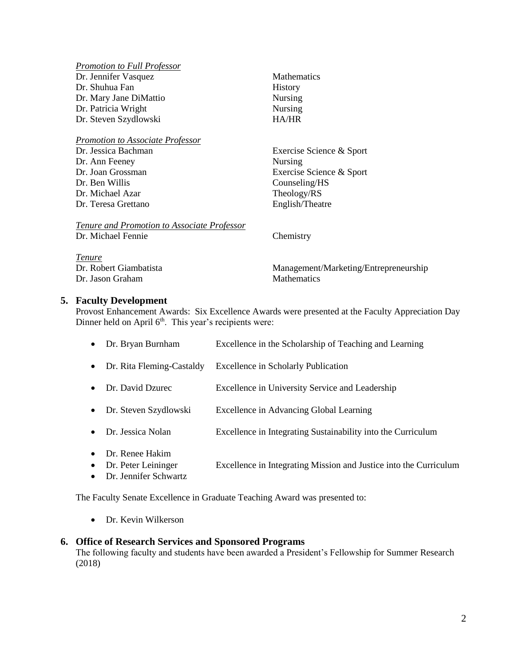| <b>Promotion to Full Professor</b>                 |                                       |
|----------------------------------------------------|---------------------------------------|
| Dr. Jennifer Vasquez                               | <b>Mathematics</b>                    |
| Dr. Shuhua Fan                                     | <b>History</b>                        |
| Dr. Mary Jane DiMattio                             | <b>Nursing</b>                        |
| Dr. Patricia Wright                                | <b>Nursing</b>                        |
| Dr. Steven Szydlowski                              | <b>HA/HR</b>                          |
|                                                    |                                       |
| <b>Promotion to Associate Professor</b>            |                                       |
| Dr. Jessica Bachman                                | Exercise Science & Sport              |
| Dr. Ann Feeney                                     | Nursing                               |
| Dr. Joan Grossman                                  | Exercise Science & Sport              |
| Dr. Ben Willis                                     | Counseling/HS                         |
| Dr. Michael Azar                                   | Theology/RS                           |
| Dr. Teresa Grettano                                | English/Theatre                       |
|                                                    |                                       |
| <b>Tenure and Promotion to Associate Professor</b> |                                       |
| Dr. Michael Fennie                                 | Chemistry                             |
|                                                    |                                       |
| <i>Tenure</i>                                      |                                       |
| Dr. Robert Giambatista                             | Management/Marketing/Entrepreneurship |
| Dr. Jason Graham                                   | Mathematics                           |

### **5. Faculty Development**

Provost Enhancement Awards: Six Excellence Awards were presented at the Faculty Appreciation Day Dinner held on April 6<sup>th</sup>. This year's recipients were:

| $\bullet$ | Dr. Bryan Burnham                                                 | Excellence in the Scholarship of Teaching and Learning            |
|-----------|-------------------------------------------------------------------|-------------------------------------------------------------------|
| $\bullet$ | Dr. Rita Fleming-Castaldy                                         | <b>Excellence in Scholarly Publication</b>                        |
| $\bullet$ | Dr. David Dzurec                                                  | Excellence in University Service and Leadership                   |
| $\bullet$ | Dr. Steven Szydlowski                                             | Excellence in Advancing Global Learning                           |
| $\bullet$ | Dr. Jessica Nolan                                                 | Excellence in Integrating Sustainability into the Curriculum      |
| $\bullet$ | Dr. Renee Hakim<br>Dr. Peter Leininger<br>• Dr. Jennifer Schwartz | Excellence in Integrating Mission and Justice into the Curriculum |

The Faculty Senate Excellence in Graduate Teaching Award was presented to:

• Dr. Kevin Wilkerson

## **6. Office of Research Services and Sponsored Programs**

The following faculty and students have been awarded a President's Fellowship for Summer Research (2018)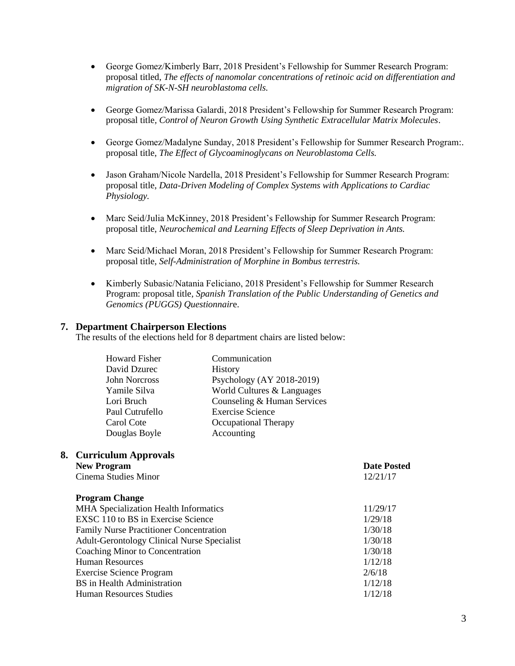- George Gomez/Kimberly Barr, 2018 President's Fellowship for Summer Research Program: proposal titled, *The effects of nanomolar concentrations of retinoic acid on differentiation and migration of SK-N-SH neuroblastoma cells.*
- George Gomez/Marissa Galardi, 2018 President's Fellowship for Summer Research Program: proposal title*, Control of Neuron Growth Using Synthetic Extracellular Matrix Molecules*.
- George Gomez/Madalyne Sunday, 2018 President's Fellowship for Summer Research Program:. proposal title, *The Effect of Glycoaminoglycans on Neuroblastoma Cells.*
- Jason Graham/Nicole Nardella, 2018 President's Fellowship for Summer Research Program: proposal title, *Data-Driven Modeling of Complex Systems with Applications to Cardiac Physiology.*
- Marc Seid/Julia McKinney, 2018 President's Fellowship for Summer Research Program: proposal title, *Neurochemical and Learning Effects of Sleep Deprivation in Ants.*
- Marc Seid/Michael Moran, 2018 President's Fellowship for Summer Research Program: proposal title, *Self-Administration of Morphine in Bombus terrestris.*
- Kimberly Subasic/Natania Feliciano, 2018 President's Fellowship for Summer Research Program: proposal title*, Spanish Translation of the Public Understanding of Genetics and Genomics (PUGGS) Questionnair*e.

### **7. Department Chairperson Elections**

The results of the elections held for 8 department chairs are listed below:

| Communication               |
|-----------------------------|
| <b>History</b>              |
| Psychology (AY 2018-2019)   |
| World Cultures & Languages  |
| Counseling & Human Services |
| <b>Exercise Science</b>     |
| Occupational Therapy        |
| Accounting                  |
|                             |

#### **8. Curriculum Approvals New Program Date Posted**

Cinema Studies Minor 12/21/17

**Program Change** MHA Specialization Health Informatics 11/29/17 EXSC 110 to BS in Exercise Science 1/29/18 Family Nurse Practitioner Concentration 1/30/18 Adult-Gerontology Clinical Nurse Specialist 1/30/18 Coaching Minor to Concentration 1/30/18 Human Resources 1/12/18 Exercise Science Program 2/6/18 BS in Health Administration 1/12/18 Human Resources Studies 1/12/18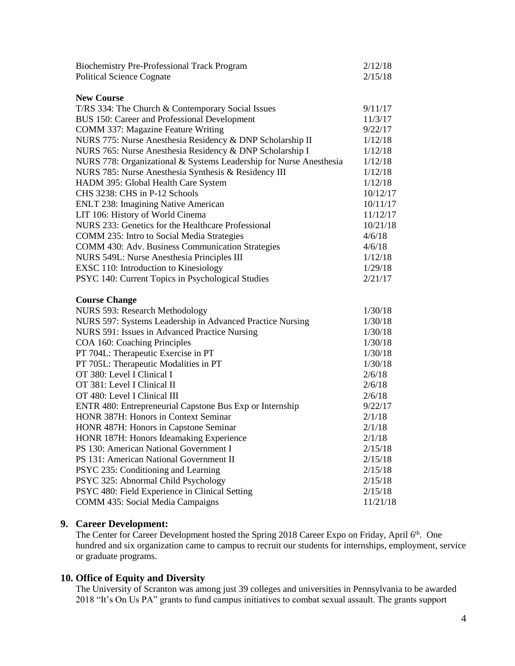| <b>Biochemistry Pre-Professional Track Program</b><br><b>Political Science Cognate</b>            | 2/12/18<br>2/15/18  |
|---------------------------------------------------------------------------------------------------|---------------------|
| <b>New Course</b>                                                                                 |                     |
| T/RS 334: The Church & Contemporary Social Issues<br>BUS 150: Career and Professional Development | 9/11/17<br>11/3/17  |
| <b>COMM 337: Magazine Feature Writing</b>                                                         | 9/22/17             |
| NURS 775: Nurse Anesthesia Residency & DNP Scholarship II                                         | 1/12/18             |
| NURS 765: Nurse Anesthesia Residency & DNP Scholarship I                                          | 1/12/18             |
| NURS 778: Organizational & Systems Leadership for Nurse Anesthesia                                | 1/12/18             |
| NURS 785: Nurse Anesthesia Synthesis & Residency III                                              | 1/12/18             |
| HADM 395: Global Health Care System                                                               | 1/12/18             |
| CHS 3238: CHS in P-12 Schools                                                                     | 10/12/17            |
| <b>ENLT 238: Imagining Native American</b>                                                        | 10/11/17            |
| LIT 106: History of World Cinema                                                                  | 11/12/17            |
| NURS 233: Genetics for the Healthcare Professional                                                | 10/21/18            |
| COMM 235: Intro to Social Media Strategies                                                        | 4/6/18              |
| <b>COMM 430: Adv. Business Communication Strategies</b>                                           | 4/6/18              |
| NURS 549L: Nurse Anesthesia Principles III                                                        | 1/12/18             |
| EXSC 110: Introduction to Kinesiology                                                             | 1/29/18             |
| PSYC 140: Current Topics in Psychological Studies                                                 | 2/21/17             |
| <b>Course Change</b>                                                                              |                     |
| <b>NURS 593: Research Methodology</b>                                                             | 1/30/18             |
| NURS 597: Systems Leadership in Advanced Practice Nursing                                         | 1/30/18             |
| NURS 591: Issues in Advanced Practice Nursing                                                     | 1/30/18             |
| COA 160: Coaching Principles                                                                      | 1/30/18             |
| PT 704L: Therapeutic Exercise in PT                                                               | 1/30/18             |
| PT 705L: Therapeutic Modalities in PT                                                             | 1/30/18             |
| OT 380: Level I Clinical I                                                                        | 2/6/18              |
| OT 381: Level I Clinical II                                                                       | 2/6/18              |
| OT 480: Level I Clinical III                                                                      | 2/6/18              |
| ENTR 480: Entrepreneurial Capstone Bus Exp or Internship                                          | 9/22/17             |
| HONR 387H: Honors in Context Seminar                                                              | 2/1/18              |
| HONR 487H: Honors in Capstone Seminar                                                             | 2/1/18              |
| HONR 187H: Honors Ideamaking Experience                                                           | 2/1/18              |
| PS 130: American National Government I                                                            |                     |
| PS 131: American National Government II                                                           | 2/15/18             |
|                                                                                                   | 2/15/18             |
| PSYC 235: Conditioning and Learning                                                               | 2/15/18             |
| PSYC 325: Abnormal Child Psychology                                                               | 2/15/18             |
| PSYC 480: Field Experience in Clinical Setting<br><b>COMM 435: Social Media Campaigns</b>         | 2/15/18<br>11/21/18 |

# **9. Career Development:**

The Center for Career Development hosted the Spring 2018 Career Expo on Friday, April 6<sup>th</sup>. One hundred and six organization came to campus to recruit our students for internships, employment, service or graduate programs.

## **10. Office of Equity and Diversity**

The University of Scranton was among just 39 colleges and universities in Pennsylvania to be awarded 2018 "It's On Us PA" grants to fund campus initiatives to combat sexual assault. The grants support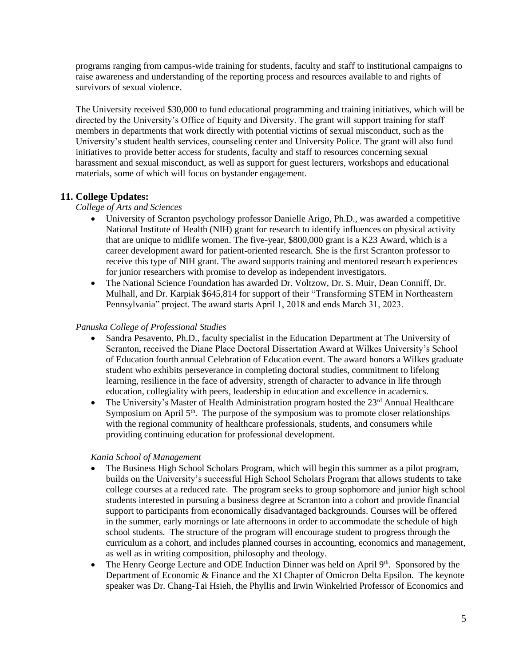programs ranging from campus-wide training for students, faculty and staff to institutional campaigns to raise awareness and understanding of the reporting process and resources available to and rights of survivors of sexual violence.

The University received \$30,000 to fund educational programming and training initiatives, which will be directed by the University's Office of Equity and Diversity. The grant will support training for staff members in departments that work directly with potential victims of sexual misconduct, such as the University's student health services, counseling center and University Police. The grant will also fund initiatives to provide better access for students, faculty and staff to resources concerning sexual harassment and sexual misconduct, as well as support for guest lecturers, workshops and educational materials, some of which will focus on bystander engagement.

## **11. College Updates:**

*College of Arts and Sciences*

- University of Scranton psychology professor Danielle Arigo, Ph.D., was awarded a competitive National Institute of Health (NIH) grant for research to identify influences on physical activity that are unique to midlife women. The five-year, \$800,000 grant is a K23 Award, which is a career development award for patient-oriented research. She is the first Scranton professor to receive this type of NIH grant. The award supports training and mentored research experiences for junior researchers with promise to develop as independent investigators.
- The National Science Foundation has awarded Dr. Voltzow, Dr. S. Muir, Dean Conniff, Dr. Mulhall, and Dr. Karpiak \$645,814 for support of their "Transforming STEM in Northeastern Pennsylvania" project. The award starts April 1, 2018 and ends March 31, 2023.

## *Panuska College of Professional Studies*

- Sandra Pesavento, Ph.D., faculty specialist in the Education Department at The University of Scranton, received the Diane Place Doctoral Dissertation Award at Wilkes University's School of Education fourth annual Celebration of Education event. The award honors a Wilkes graduate student who exhibits perseverance in completing doctoral studies, commitment to lifelong learning, resilience in the face of adversity, strength of character to advance in life through education, collegiality with peers, leadership in education and excellence in academics.
- The University's Master of Health Administration program hosted the  $23<sup>rd</sup>$  Annual Healthcare Symposium on April  $5<sup>th</sup>$ . The purpose of the symposium was to promote closer relationships with the regional community of healthcare professionals, students, and consumers while providing continuing education for professional development.

## *Kania School of Management*

- The Business High School Scholars Program, which will begin this summer as a pilot program, builds on the University's successful High School Scholars Program that allows students to take college courses at a reduced rate. The program seeks to group sophomore and junior high school students interested in pursuing a business degree at Scranton into a cohort and provide financial support to participants from economically disadvantaged backgrounds. Courses will be offered in the summer, early mornings or late afternoons in order to accommodate the schedule of high school students. The structure of the program will encourage student to progress through the curriculum as a cohort, and includes planned courses in accounting, economics and management, as well as in writing composition, philosophy and theology.
- The Henry George Lecture and ODE Induction Dinner was held on April  $9<sup>th</sup>$ . Sponsored by the Department of Economic & Finance and the XI Chapter of Omicron Delta Epsilon. The keynote speaker was Dr. Chang-Tai Hsieh, the Phyllis and Irwin Winkelried Professor of Economics and